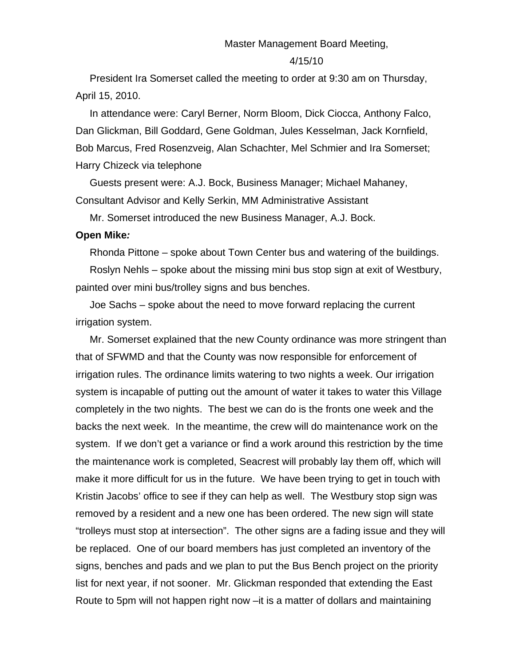# Master Management Board Meeting,

### 4/15/10

 President Ira Somerset called the meeting to order at 9:30 am on Thursday, April 15, 2010.

 In attendance were: Caryl Berner, Norm Bloom, Dick Ciocca, Anthony Falco, Dan Glickman, Bill Goddard, Gene Goldman, Jules Kesselman, Jack Kornfield, Bob Marcus, Fred Rosenzveig, Alan Schachter, Mel Schmier and Ira Somerset; Harry Chizeck via telephone

 Guests present were: A.J. Bock, Business Manager; Michael Mahaney, Consultant Advisor and Kelly Serkin, MM Administrative Assistant

Mr. Somerset introduced the new Business Manager, A.J. Bock.

### **Open Mike***:*

Rhonda Pittone – spoke about Town Center bus and watering of the buildings.

 Roslyn Nehls – spoke about the missing mini bus stop sign at exit of Westbury, painted over mini bus/trolley signs and bus benches.

 Joe Sachs – spoke about the need to move forward replacing the current irrigation system.

 Mr. Somerset explained that the new County ordinance was more stringent than that of SFWMD and that the County was now responsible for enforcement of irrigation rules. The ordinance limits watering to two nights a week. Our irrigation system is incapable of putting out the amount of water it takes to water this Village completely in the two nights. The best we can do is the fronts one week and the backs the next week. In the meantime, the crew will do maintenance work on the system. If we don't get a variance or find a work around this restriction by the time the maintenance work is completed, Seacrest will probably lay them off, which will make it more difficult for us in the future. We have been trying to get in touch with Kristin Jacobs' office to see if they can help as well. The Westbury stop sign was removed by a resident and a new one has been ordered. The new sign will state "trolleys must stop at intersection". The other signs are a fading issue and they will be replaced. One of our board members has just completed an inventory of the signs, benches and pads and we plan to put the Bus Bench project on the priority list for next year, if not sooner. Mr. Glickman responded that extending the East Route to 5pm will not happen right now –it is a matter of dollars and maintaining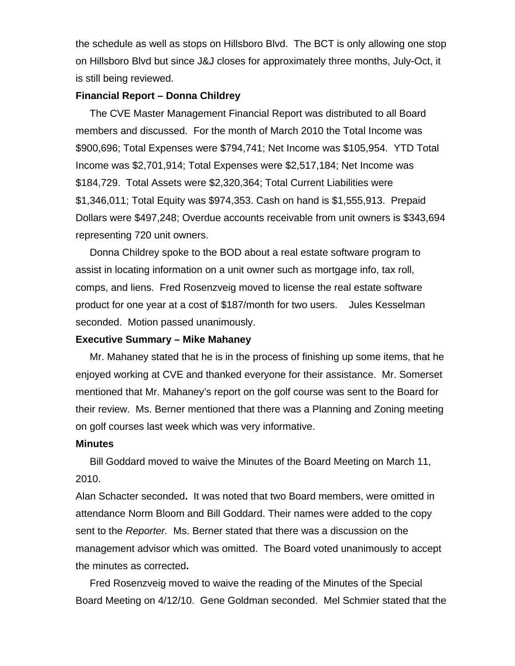the schedule as well as stops on Hillsboro Blvd. The BCT is only allowing one stop on Hillsboro Blvd but since J&J closes for approximately three months, July-Oct, it is still being reviewed.

## **Financial Report – Donna Childrey**

 The CVE Master Management Financial Report was distributed to all Board members and discussed. For the month of March 2010 the Total Income was \$900,696; Total Expenses were \$794,741; Net Income was \$105,954. YTD Total Income was \$2,701,914; Total Expenses were \$2,517,184; Net Income was \$184,729. Total Assets were \$2,320,364; Total Current Liabilities were \$1,346,011; Total Equity was \$974,353. Cash on hand is \$1,555,913. Prepaid Dollars were \$497,248; Overdue accounts receivable from unit owners is \$343,694 representing 720 unit owners.

 Donna Childrey spoke to the BOD about a real estate software program to assist in locating information on a unit owner such as mortgage info, tax roll, comps, and liens. Fred Rosenzveig moved to license the real estate software product for one year at a cost of \$187/month for two users. Jules Kesselman seconded. Motion passed unanimously.

## **Executive Summary – Mike Mahaney**

 Mr. Mahaney stated that he is in the process of finishing up some items, that he enjoyed working at CVE and thanked everyone for their assistance. Mr. Somerset mentioned that Mr. Mahaney's report on the golf course was sent to the Board for their review. Ms. Berner mentioned that there was a Planning and Zoning meeting on golf courses last week which was very informative.

## **Minutes**

 Bill Goddard moved to waive the Minutes of the Board Meeting on March 11, 2010.

Alan Schacter seconded**.** It was noted that two Board members, were omitted in attendance Norm Bloom and Bill Goddard. Their names were added to the copy sent to the *Reporter.* Ms. Berner stated that there was a discussion on the management advisor which was omitted. The Board voted unanimously to accept the minutes as corrected**.**

 Fred Rosenzveig moved to waive the reading of the Minutes of the Special Board Meeting on 4/12/10. Gene Goldman seconded. Mel Schmier stated that the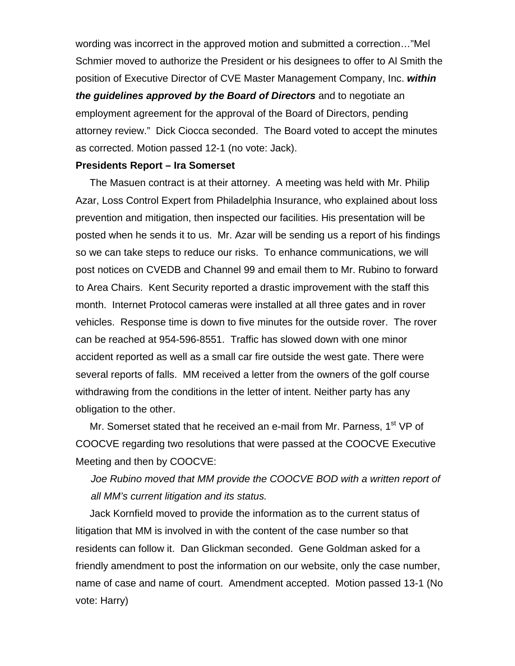wording was incorrect in the approved motion and submitted a correction…"Mel Schmier moved to authorize the President or his designees to offer to Al Smith the position of Executive Director of CVE Master Management Company, Inc. *within the guidelines approved by the Board of Directors* and to negotiate an employment agreement for the approval of the Board of Directors, pending attorney review." Dick Ciocca seconded. The Board voted to accept the minutes as corrected. Motion passed 12-1 (no vote: Jack).

## **Presidents Report – Ira Somerset**

 The Masuen contract is at their attorney. A meeting was held with Mr. Philip Azar, Loss Control Expert from Philadelphia Insurance, who explained about loss prevention and mitigation, then inspected our facilities. His presentation will be posted when he sends it to us. Mr. Azar will be sending us a report of his findings so we can take steps to reduce our risks. To enhance communications, we will post notices on CVEDB and Channel 99 and email them to Mr. Rubino to forward to Area Chairs. Kent Security reported a drastic improvement with the staff this month. Internet Protocol cameras were installed at all three gates and in rover vehicles. Response time is down to five minutes for the outside rover. The rover can be reached at 954-596-8551. Traffic has slowed down with one minor accident reported as well as a small car fire outside the west gate. There were several reports of falls. MM received a letter from the owners of the golf course withdrawing from the conditions in the letter of intent. Neither party has any obligation to the other.

Mr. Somerset stated that he received an e-mail from Mr. Parness, 1<sup>st</sup> VP of COOCVE regarding two resolutions that were passed at the COOCVE Executive Meeting and then by COOCVE:

# Joe Rubino moved that MM provide the COOCVE BOD with a written report of *all MM's current litigation and its status.*

 Jack Kornfield moved to provide the information as to the current status of litigation that MM is involved in with the content of the case number so that residents can follow it. Dan Glickman seconded. Gene Goldman asked for a friendly amendment to post the information on our website, only the case number, name of case and name of court. Amendment accepted. Motion passed 13-1 (No vote: Harry)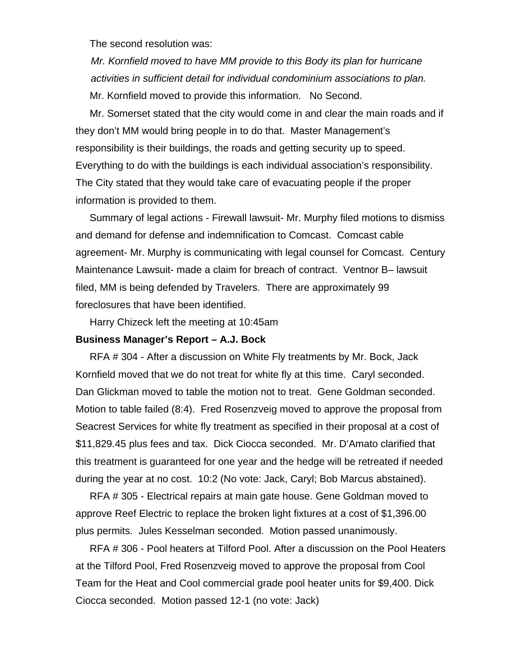The second resolution was:

*Mr. Kornfield moved to have MM provide to this Body its plan for hurricane activities in sufficient detail for individual condominium associations to plan.* Mr. Kornfield moved to provide this information. No Second.

 Mr. Somerset stated that the city would come in and clear the main roads and if they don't MM would bring people in to do that. Master Management's responsibility is their buildings, the roads and getting security up to speed. Everything to do with the buildings is each individual association's responsibility. The City stated that they would take care of evacuating people if the proper information is provided to them.

 Summary of legal actions - Firewall lawsuit- Mr. Murphy filed motions to dismiss and demand for defense and indemnification to Comcast. Comcast cable agreement- Mr. Murphy is communicating with legal counsel for Comcast. Century Maintenance Lawsuit- made a claim for breach of contract. Ventnor B– lawsuit filed, MM is being defended by Travelers. There are approximately 99 foreclosures that have been identified.

Harry Chizeck left the meeting at 10:45am

#### **Business Manager's Report – A.J. Bock**

 RFA # 304 - After a discussion on White Fly treatments by Mr. Bock, Jack Kornfield moved that we do not treat for white fly at this time. Caryl seconded. Dan Glickman moved to table the motion not to treat. Gene Goldman seconded. Motion to table failed (8:4). Fred Rosenzveig moved to approve the proposal from Seacrest Services for white fly treatment as specified in their proposal at a cost of \$11,829.45 plus fees and tax. Dick Ciocca seconded. Mr. D'Amato clarified that this treatment is guaranteed for one year and the hedge will be retreated if needed during the year at no cost. 10:2 (No vote: Jack, Caryl; Bob Marcus abstained).

 RFA # 305 - Electrical repairs at main gate house. Gene Goldman moved to approve Reef Electric to replace the broken light fixtures at a cost of \$1,396.00 plus permits. Jules Kesselman seconded. Motion passed unanimously.

 RFA # 306 - Pool heaters at Tilford Pool. After a discussion on the Pool Heaters at the Tilford Pool, Fred Rosenzveig moved to approve the proposal from Cool Team for the Heat and Cool commercial grade pool heater units for \$9,400. Dick Ciocca seconded. Motion passed 12-1 (no vote: Jack)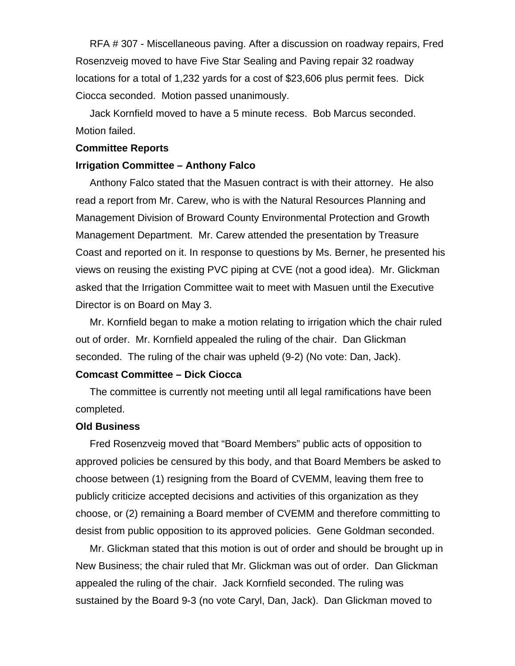RFA # 307 - Miscellaneous paving. After a discussion on roadway repairs, Fred Rosenzveig moved to have Five Star Sealing and Paving repair 32 roadway locations for a total of 1,232 yards for a cost of \$23,606 plus permit fees. Dick Ciocca seconded. Motion passed unanimously.

 Jack Kornfield moved to have a 5 minute recess. Bob Marcus seconded. Motion failed.

## **Committee Reports**

### **Irrigation Committee – Anthony Falco**

 Anthony Falco stated that the Masuen contract is with their attorney. He also read a report from Mr. Carew, who is with the Natural Resources Planning and Management Division of Broward County Environmental Protection and Growth Management Department. Mr. Carew attended the presentation by Treasure Coast and reported on it. In response to questions by Ms. Berner, he presented his views on reusing the existing PVC piping at CVE (not a good idea). Mr. Glickman asked that the Irrigation Committee wait to meet with Masuen until the Executive Director is on Board on May 3.

 Mr. Kornfield began to make a motion relating to irrigation which the chair ruled out of order. Mr. Kornfield appealed the ruling of the chair. Dan Glickman seconded. The ruling of the chair was upheld (9-2) (No vote: Dan, Jack).

### **Comcast Committee – Dick Ciocca**

 The committee is currently not meeting until all legal ramifications have been completed.

### **Old Business**

Fred Rosenzveig moved that "Board Members" public acts of opposition to approved policies be censured by this body, and that Board Members be asked to choose between (1) resigning from the Board of CVEMM, leaving them free to publicly criticize accepted decisions and activities of this organization as they choose, or (2) remaining a Board member of CVEMM and therefore committing to desist from public opposition to its approved policies. Gene Goldman seconded.

Mr. Glickman stated that this motion is out of order and should be brought up in New Business; the chair ruled that Mr. Glickman was out of order. Dan Glickman appealed the ruling of the chair. Jack Kornfield seconded. The ruling was sustained by the Board 9-3 (no vote Caryl, Dan, Jack). Dan Glickman moved to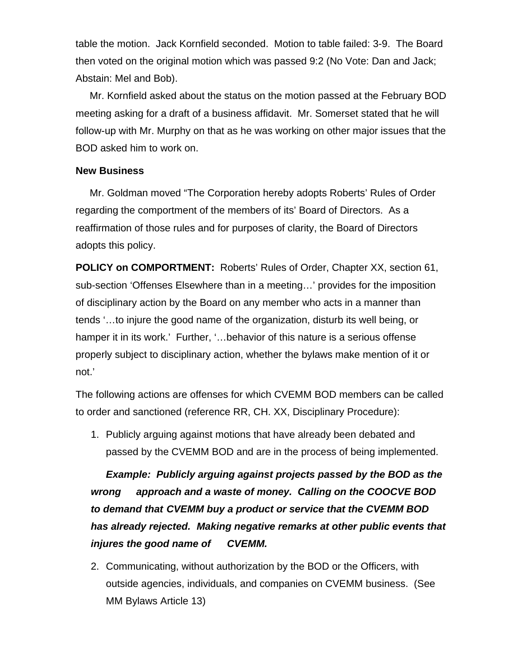table the motion. Jack Kornfield seconded. Motion to table failed: 3-9. The Board then voted on the original motion which was passed 9:2 (No Vote: Dan and Jack; Abstain: Mel and Bob).

 Mr. Kornfield asked about the status on the motion passed at the February BOD meeting asking for a draft of a business affidavit. Mr. Somerset stated that he will follow-up with Mr. Murphy on that as he was working on other major issues that the BOD asked him to work on.

## **New Business**

Mr. Goldman moved "The Corporation hereby adopts Roberts' Rules of Order regarding the comportment of the members of its' Board of Directors. As a reaffirmation of those rules and for purposes of clarity, the Board of Directors adopts this policy.

**POLICY on COMPORTMENT:** Roberts' Rules of Order, Chapter XX, section 61, sub-section 'Offenses Elsewhere than in a meeting…' provides for the imposition of disciplinary action by the Board on any member who acts in a manner than tends '…to injure the good name of the organization, disturb its well being, or hamper it in its work.' Further, '...behavior of this nature is a serious offense properly subject to disciplinary action, whether the bylaws make mention of it or not.'

The following actions are offenses for which CVEMM BOD members can be called to order and sanctioned (reference RR, CH. XX, Disciplinary Procedure):

1. Publicly arguing against motions that have already been debated and passed by the CVEMM BOD and are in the process of being implemented.

*Example:**Publicly arguing against projects passed by the BOD as the wrong approach and a waste of money. Calling on the COOCVE BOD to demand that CVEMM buy a product or service that the CVEMM BOD has already rejected. Making negative remarks at other public events that injures the good name of CVEMM.*

2. Communicating, without authorization by the BOD or the Officers, with outside agencies, individuals, and companies on CVEMM business. (See MM Bylaws Article 13)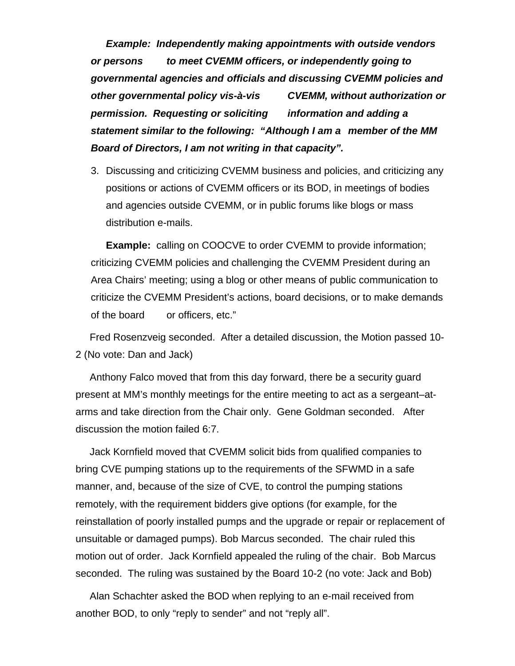*Example: Independently making appointments with outside vendors or persons to meet CVEMM officers, or independently going to governmental agencies and officials and discussing CVEMM policies and other governmental policy vis-à-vis CVEMM, without authorization or permission. Requesting or soliciting information and adding a statement similar to the following: "Although I am a member of the MM Board of Directors, I am not writing in that capacity".*

3. Discussing and criticizing CVEMM business and policies, and criticizing any positions or actions of CVEMM officers or its BOD, in meetings of bodies and agencies outside CVEMM, or in public forums like blogs or mass distribution e-mails.

**Example:** calling on COOCVE to order CVEMM to provide information; criticizing CVEMM policies and challenging the CVEMM President during an Area Chairs' meeting; using a blog or other means of public communication to criticize the CVEMM President's actions, board decisions, or to make demands of the board or officers, etc."

Fred Rosenzveig seconded. After a detailed discussion, the Motion passed 10- 2 (No vote: Dan and Jack)

 Anthony Falco moved that from this day forward, there be a security guard present at MM's monthly meetings for the entire meeting to act as a sergeant–atarms and take direction from the Chair only. Gene Goldman seconded. After discussion the motion failed 6:7.

 Jack Kornfield moved that CVEMM solicit bids from qualified companies to bring CVE pumping stations up to the requirements of the SFWMD in a safe manner, and, because of the size of CVE, to control the pumping stations remotely, with the requirement bidders give options (for example, for the reinstallation of poorly installed pumps and the upgrade or repair or replacement of unsuitable or damaged pumps). Bob Marcus seconded. The chair ruled this motion out of order. Jack Kornfield appealed the ruling of the chair. Bob Marcus seconded. The ruling was sustained by the Board 10-2 (no vote: Jack and Bob)

 Alan Schachter asked the BOD when replying to an e-mail received from another BOD, to only "reply to sender" and not "reply all".